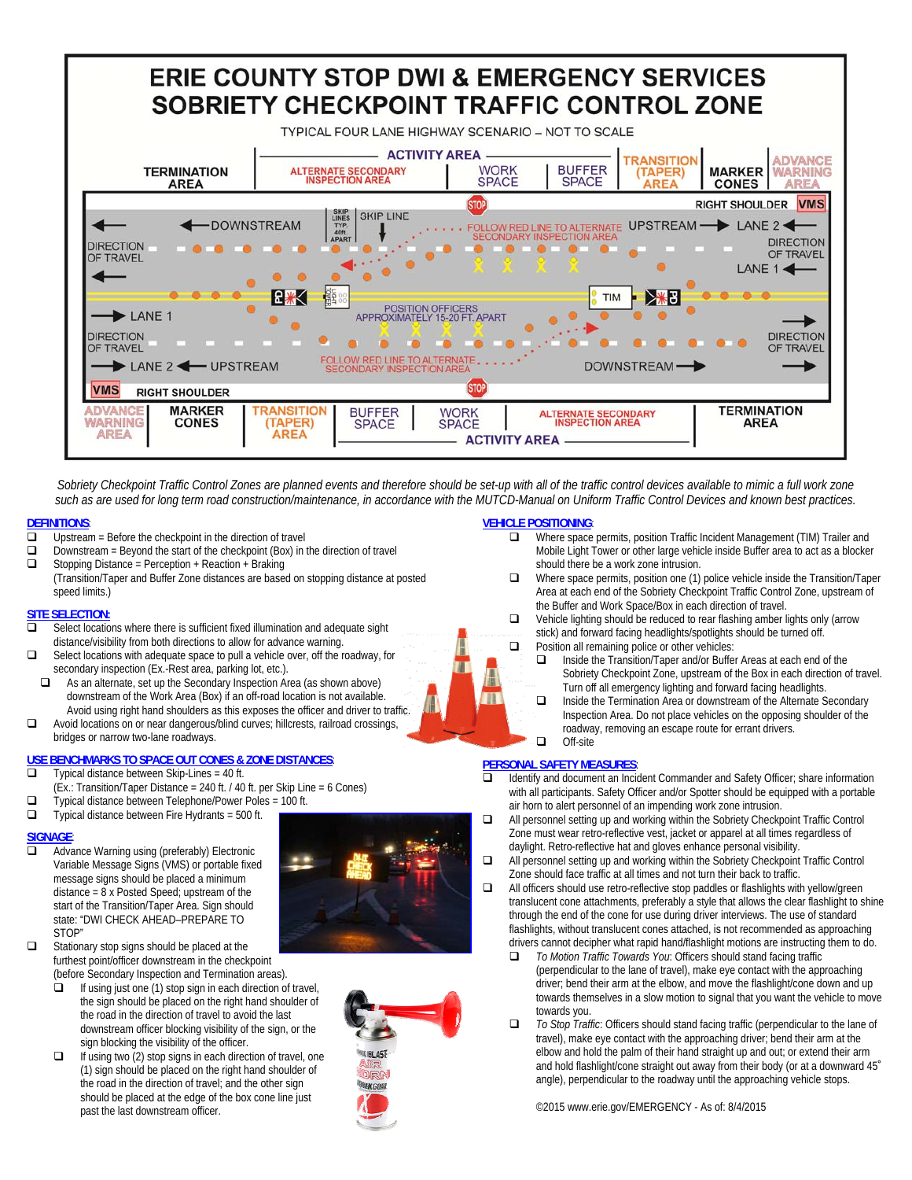

Sobriety Checkpoint Traffic Control Zones are planned events and therefore should be set-up with all of the traffic control devices available to mimic a full work zone such as are used for long term road construction/maintenance, in accordance with the MUTCD-Manual on Uniform Traffic Control Devices and known best practices.

## **DEFINITIONS:**<br> **D** Unstream

- Upstream = Before the checkpoint in the direction of travel
- $\Box$  Downstream = Beyond the start of the checkpoint (Box) in the direction of travel  $\Box$  Stopping Distance = Perception + Reaction + Braking
- (Transition/Taper and Buffer Zone distances are based on stopping distance at posted speed limits.)

#### **SITE SELECTION:**

- □ Select locations where there is sufficient fixed illumination and adequate sight distance/visibility from both directions to allow for advance warning.
- Select locations with adequate space to pull a vehicle over, off the roadway, for secondary inspection (Ex.-Rest area, parking lot, etc.).
- $\Box$  As an alternate, set up the Secondary Inspection Area (as shown above) downstream of the Work Area (Box) if an off-road location is not available. Avoid using right hand shoulders as this exposes the officer and driver to traffic.
- Avoid locations on or near dangerous/blind curves; hillcrests, railroad crossings, bridges or narrow two-lane roadways.

### **USE BENCHMARKS TO SPACE OUT CONES & ZONE DISTANCES**:

- $\Box$  Typical distance between Skip-Lines = 40 ft.
- $(\overrightarrow{Ex}$ .: Transition/Taper Distance = 240 ft. / 40 ft. per Skip Line = 6 Cones)
- $\Box$  Typical distance between Telephone/Power Poles = 100 ft.
- $\Box$  Typical distance between Fire Hydrants = 500 ft.

- **SIGNAGE**<br> **a** Adva Advance Warning using (preferably) Electronic Variable Message Signs (VMS) or portable fixed message signs should be placed a minimum distance = 8 x Posted Speed; upstream of the start of the Transition/Taper Area. Sign should state: "DWI CHECK AHEAD–PREPARE TO STOP"
- □ Stationary stop signs should be placed at the furthest point/officer downstream in the checkpoint (before Secondary Inspection and Termination areas).
	- $\Box$  If using just one (1) stop sign in each direction of travel, the sign should be placed on the right hand shoulder of the road in the direction of travel to avoid the last downstream officer blocking visibility of the sign, or the sign blocking the visibility of the officer.
	- $\Box$  If using two (2) stop signs in each direction of travel, one (1) sign should be placed on the right hand shoulder of the road in the direction of travel; and the other sign should be placed at the edge of the box cone line just past the last downstream officer.

#### **VEHICLE POSITIONING**:

- □ Where space permits, position Traffic Incident Management (TIM) Trailer and Mobile Light Tower or other large vehicle inside Buffer area to act as a blocker should there be a work zone intrusion.
- Where space permits, position one (1) police vehicle inside the Transition/Taper Area at each end of the Sobriety Checkpoint Traffic Control Zone, upstream of the Buffer and Work Space/Box in each direction of travel.
- $\Box$  Vehicle lighting should be reduced to rear flashing amber lights only (arrow stick) and forward facing headlights/spotlights should be turned off.  $\Box$  Position all remaining police or other vehicles:
	- □ Inside the Transition/Taper and/or Buffer Areas at each end of the Sobriety Checkpoint Zone, upstream of the Box in each direction of travel. Turn off all emergency lighting and forward facing headlights.
	- $\Box$  Inside the Termination Area or downstream of the Alternate Secondary Inspection Area. Do not place vehicles on the opposing shoulder of the roadway, removing an escape route for errant drivers. □ Off-site

# **PERSONAL SAFETY MEASURES:**<br> **D** Identify and document an Inci

- Identify and document an Incident Commander and Safety Officer; share information with all participants. Safety Officer and/or Spotter should be equipped with a portable air horn to alert personnel of an impending work zone intrusion.
- All personnel setting up and working within the Sobriety Checkpoint Traffic Control Zone must wear retro-reflective vest, jacket or apparel at all times regardless of daylight. Retro-reflective hat and gloves enhance personal visibility.
- All personnel setting up and working within the Sobriety Checkpoint Traffic Control Zone should face traffic at all times and not turn their back to traffic.
- $\Box$  All officers should use retro-reflective stop paddles or flashlights with yellow/green translucent cone attachments, preferably a style that allows the clear flashlight to shine through the end of the cone for use during driver interviews. The use of standard flashlights, without translucent cones attached, is not recommended as approaching drivers cannot decipher what rapid hand/flashlight motions are instructing them to do.
	- *To Motion Traffic Towards You*: Officers should stand facing traffic (perpendicular to the lane of travel), make eye contact with the approaching driver; bend their arm at the elbow, and move the flashlight/cone down and up towards themselves in a slow motion to signal that you want the vehicle to move towards you.
	- *To Stop Traffic*: Officers should stand facing traffic (perpendicular to the lane of travel), make eye contact with the approaching driver; bend their arm at the elbow and hold the palm of their hand straight up and out; or extend their arm and hold flashlight/cone straight out away from their body (or at a downward 45˚ angle), perpendicular to the roadway until the approaching vehicle stops.

©2015 www.erie.gov/EMERGENCY - As of: 8/4/2015